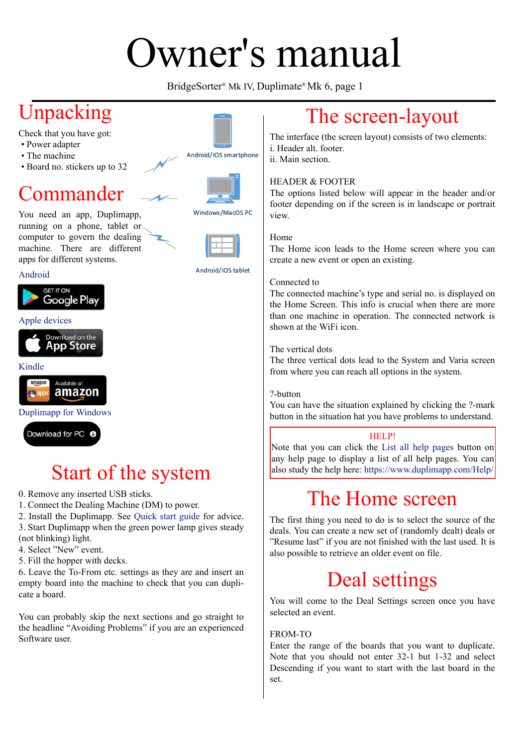# Jwner's manual

BridgeSorter® Mk IV, Duplimate® Mk 6, page 1



# [Start of the system](https://www.duplimapp.com/duplimapp.exe)

0. Remove any inserted USB sticks.

1. Connect the Dealing Machine (DM) to power.

2. Install the Duplimapp. See Quick start guide for advice. 3. Start Duplimapp when the green power lamp gives steady

- (not blinking) light.
- 4. Select "New" event.
- 5. Fill the hopper with decks.

6. Leave the To-From etc. settings as they are and insert an empty board into the machine to check that you can duplicate a board.

You can probably skip the next sections and go straight to the headline "Avoiding Problems" if you are an experienced Software user.

# The screen-layout

The interface (the screen layout) consists of two elements:

The options listed below will appear in the header and/or footer depending on if the screen is in landscape or portrait

The Home icon leads to the Home screen where you can create a new event or open an existing.

The connected machine's type and serial no. is displayed on the Home Screen. This info is crucial when there are more than one machine in operation. The connected network is

The three vertical dots lead to the System and Varia screen from where you can reach all options in the system.

You can have the situation explained by clicking the ?-mark button in the situation hat you have problems to understand.

Note that you can click the List all help pages button on any help page to display a list of all help pages. You can also study the help here: https://www.duplimapp.com/Help/

# The Ho[me screen](https://www.duplimapp.com/Help/html/index.html)

The first thing you need [to do is to select the source of the](https://www.duplimapp.com/Help/index.html) deals. You can create a new set of (randomly dealt) deals or "Resume last" if you are not finished with the last used. It is also possible to retrieve an older event on file.

# Deal settings

You will come to the Deal Settings screen once you have selected an event.

#### FROM-TO

Enter the range of the boards that you want to duplicate. Note that you should not enter 32-1 but 1-32 and select Descending if you want to start with the last board in the set.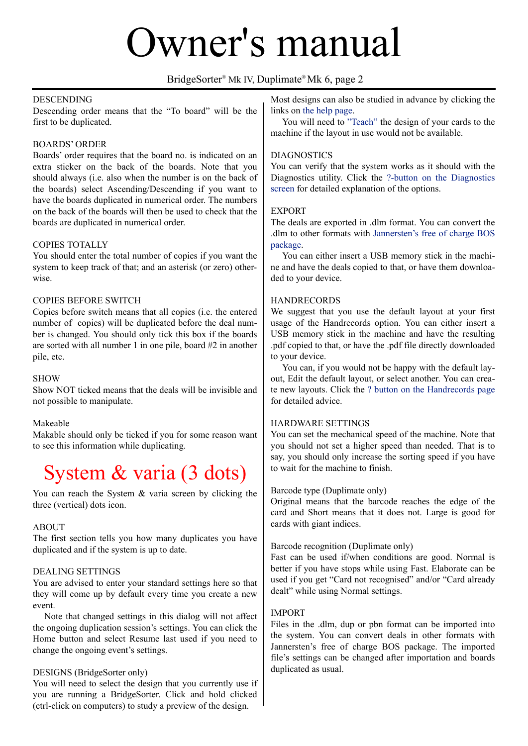## Owner's manual

#### BridgeSorter® Mk IV, Duplimate® Mk 6, page 2

#### **DESCENDING**

Descending order means that the "To board" will be the first to be duplicated.

#### BOARDS' ORDER

Boards' order requires that the board no. is indicated on an extra sticker on the back of the boards. Note that you should always (i.e. also when the number is on the back of the boards) select Ascending/Descending if you want to have the boards duplicated in numerical order. The numbers on the back of the boards will then be used to check that the boards are duplicated in numerical order.

#### COPIES TOTALLY

You should enter the total number of copies if you want the system to keep track of that; and an asterisk (or zero) otherwise.

#### COPIES BEFORE SWITCH

Copies before switch means that all copies (i.e. the entered number of copies) will be duplicated before the deal number is changed. You should only tick this box if the boards are sorted with all number 1 in one pile, board #2 in another pile, etc.

#### SHOW

Show NOT ticked means that the deals will be invisible and not possible to manipulate.

#### Makeable

Makable should only be ticked if you for some reason want to see this information while duplicating.

## System & varia (3 dots)

You can reach the System & varia screen by clicking the three (vertical) dots icon.

#### **ABOUT**

The first section tells you how many duplicates you have duplicated and if the system is up to date.

#### DEALING SETTINGS

You are advised to enter your standard settings here so that they will come up by default every time you create a new event.

 Note that changed settings in this dialog will not affect the ongoing duplication session's settings. You can click the Home button and select Resume last used if you need to change the ongoing event's settings.

#### DESIGNS (BridgeSorter only)

You will need to select the design that you currently use if you are running a BridgeSorter. Click and hold clicked (ctrl-click on computers) to study a preview of the design.

Most designs can also be studied in advance by clicking the links on the help page.

 You will need to "Teach" the design of your cards to the machine if the layout in use would not be available.

#### DIAGN[OSTICS](https://duplimapp.com/Help/html/select_design.html)

You can verify that [the syste](https://duplimapp.com/Help/html/teach.html)m works as it should with the Diagnostics utility. Click the ?-button on the Diagnostics screen for detailed explanation of the options.

#### EXPORT

The deals are exported in .dl[m format. You can convert the](https://duplimapp.com/Help/html/diagnostics.html)  [.dlm to](https://duplimapp.com/Help/html/diagnostics.html) other formats with Jannersten's free of charge BOS package.

 You can either insert a USB memory stick in the machine and have the deals copied to that, or have them downloaded to your device.

#### **HANDRECORDS**

We suggest that you use the default layout at your first usage of the Handrecords option. You can either insert a USB memory stick in the machine and have the resulting .pdf copied to that, or have the .pdf file directly downloaded to your device.

 You can, if you would not be happy with the default layout, Edit the default layout, or select another. You can create new layouts. Click the ? button on the Handrecords page for detailed advice.

#### HARDWARE SETTINGS

You can set the mechani[cal speed of the machine. Note that](https://duplimapp.com/Help/html/handrecords.html)  you should not set a higher speed than needed. That is to say, you should only increase the sorting speed if you have to wait for the machine to finish.

#### Barcode type (Duplimate only)

Original means that the barcode reaches the edge of the card and Short means that it does not. Large is good for cards with giant indices.

#### Barcode recognition (Duplimate only)

Fast can be used if/when conditions are good. Normal is better if you have stops while using Fast. Elaborate can be used if you get "Card not recognised" and/or "Card already dealt" while using Normal settings.

#### IMPORT

Files in the .dlm, dup or pbn format can be imported into the system. You can convert deals in other formats with Jannersten's free of charge BOS package. The imported file's settings can be changed after importation and boards duplicated as usual.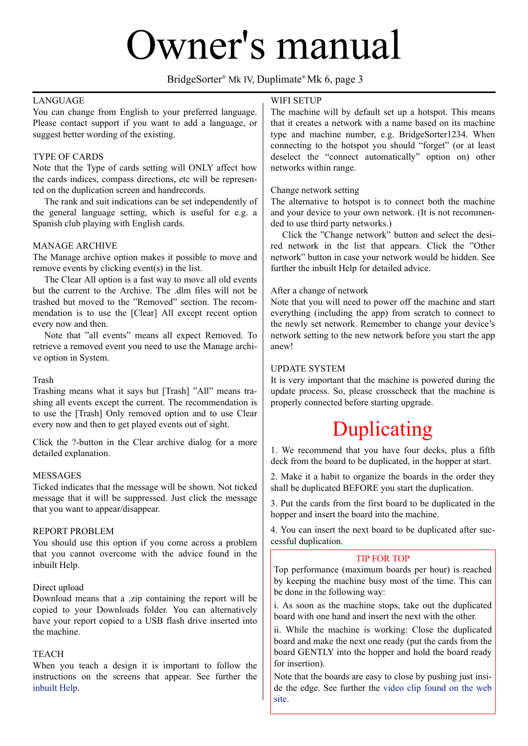## IWIICI S IIIallual

#### BridgeSorter® Mk IV, Duplimate® Mk 6, page 3

#### **LANGUAGE**

You can change from English to your preferred language. Please contact support if you want to add a language, or suggest better wording of the existing.

#### TYPE OF CARDS

Note that the Type of cards setting will ONLY affect how the cards indices, compass directions, etc will be represented on the duplication screen and handrecords.

 The rank and suit indications can be set independently of the general language setting, which is useful for e.g. a Spanish club playing with English cards.

#### MANAGE ARCHIVE

The Manage archive option makes it possible to move and remove events by clicking event(s) in the list.

 The Clear All option is a fast way to move all old events but the current to the Archive. The dlm files will not be trashed but moved to the "Removed" section. The recommendation is to use the [Clear] All except recent option every now and then.

 Note that "all events" means all expect Removed. To retrieve a removed event you need to use the Manage archive option in System.

#### Trash

Trashing means what it says but [Trash] "All" means trashing all events except the current. The recommendation is to use the [Trash] Only removed option and to use Clear every now and then to get played events out of sight.

Click the ?-button in the Clear archive dialog for a more detailed explanation.

#### **MESSAGES**

Ticked indicates that the message will be shown. Not ticked message that it will be suppressed. Just click the message that you want to appear/disappear.

#### REPORT PROBLEM

You should use this option if you come across a problem that you cannot overcome with the advice found in the inbuilt Help.

#### Direct upload

Download means that a .zip containing the report will be copied to your Downloads folder. You can alternatively have your report copied to a USB flash drive inserted into the machine.

#### TEACH

When you teach a design it is important to follow the instructions on the screens that appear. See further the inbuilt Help.

#### WIFI SETUP

The machine will by default set up a hotspot. This means that it creates a network with a name based on its machine type and machine number, e.g. BridgeSorter1234. When connecting to the hotspot you should "forget" (or at least deselect the "connect automatically" option on) other networks within range.

#### Change network setting

The alternative to hotspot is to connect both the machine and your device to your own network. (It is not recommended to use third party networks.)

 Click the "Change network" button and select the desired network in the list that appears. Click the "Other network" button in case your network would be hidden. See further the inbuilt Help for detailed advice.

#### After a change of network

Note that you will need to power off the machine and start everything (including the app) from scratch to connect to the newly set network. Remember to change your device's network setting to the new network before you start the app anew!

#### UPDATE SYSTEM

It is very important that the machine is powered during the update process. So, please crosscheck that the machine is properly connected before starting upgrade.

# Duplicating

1. We recommend that you have four decks, plus a fifth deck from the board to be duplicated, in the hopper at start.

2. Make it a habit to organize the boards in the order they shall be duplicated BEFORE you start the duplication.

3. Put the cards from the first board to be duplicated in the hopper and insert the board into the machine.

4. You can insert the next board to be duplicated after successful duplication.

#### TIP FOR TOP

Top performance (maximum boards per hour) is reached by keeping the machine busy most of the time. This can be done in the following way:

i. As soon as the machine stops, take out the duplicated board with one hand and insert the next with the other.

ii. While the machine is working: Close the duplicated board and make the next one ready (put the cards from the board GENTLY into the hopper and hold the board ready for insertion).

Note that the boards are easy to close by pushing just inside the edge. See further the video clip found on the web site.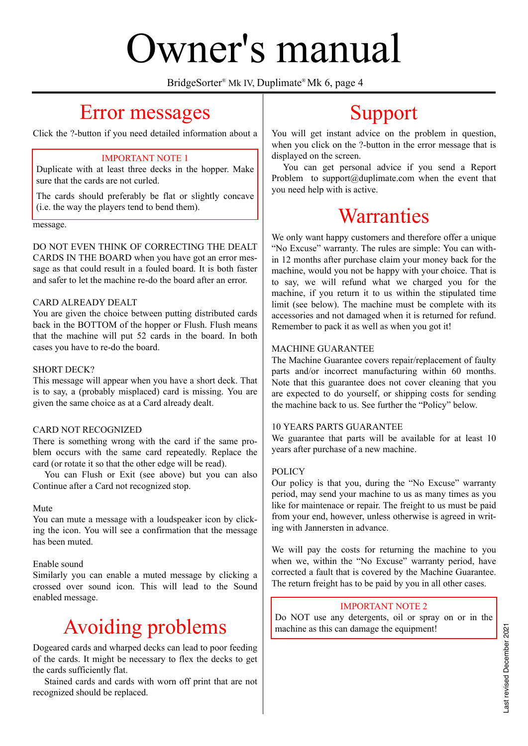# Owner's manual

BridgeSorter® Mk IV, Duplimate® Mk 6, page 4

## Error messages

Click the ?-button if you need detailed information about a

#### IMPORTANT NOTE 1

Duplicate with at least three decks in the hopper. Make sure that the cards are not curled.

The cards should preferably be flat or slightly concave (i.e. the way the players tend to bend them).

message.

DO NOT EVEN THINK OF CORRECTING THE DEALT CARDS IN THE BOARD when you have got an error message as that could result in a fouled board. It is both faster and safer to let the machine re-do the board after an error.

#### CARD ALREADY DEALT

You are given the choice between putting distributed cards back in the BOTTOM of the hopper or Flush. Flush means that the machine will put 52 cards in the board. In both cases you have to re-do the board.

#### SHORT DECK?

This message will appear when you have a short deck. That is to say, a (probably misplaced) card is missing. You are given the same choice as at a Card already dealt.

#### CARD NOT RECOGNIZED

There is something wrong with the card if the same problem occurs with the same card repeatedly. Replace the card (or rotate it so that the other edge will be read).

 You can Flush or Exit (see above) but you can also Continue after a Card not recognized stop.

#### Mute

You can mute a message with a loudspeaker icon by clicking the icon. You will see a confirmation that the message has been muted.

#### Enable sound

Similarly you can enable a muted message by clicking a crossed over sound icon. This will lead to the Sound enabled message.

# Avoiding problems

Dogeared cards and wharped decks can lead to poor feeding of the cards. It might be necessary to flex the decks to get the cards sufficiently flat.

 Stained cards and cards with worn off print that are not recognized should be replaced.

# Support

You will get instant advice on the problem in question, when you click on the ?-button in the error message that is displayed on the screen.

 You can get personal advice if you send a Report Problem to support $(a)$ duplimate.com when the event that you need help with is active.

# **Warranties**

We only want happy customers and therefore offer a unique "No Excuse" warranty. The rules are simple: You can within 12 months after purchase claim your money back for the machine, would you not be happy with your choice. That is to say, we will refund what we charged you for the machine, if you return it to us within the stipulated time limit (see below). The machine must be complete with its accessories and not damaged when it is returned for refund. Remember to pack it as well as when you got it!

#### MACHINE GUARANTEE

The Machine Guarantee covers repair/replacement of faulty parts and/or incorrect manufacturing within 60 months. Note that this guarantee does not cover cleaning that you are expected to do yourself, or shipping costs for sending the machine back to us. See further the "Policy" below.

#### 10 YEARS PARTS GUARANTEE

We guarantee that parts will be available for at least 10 years after purchase of a new machine.

#### POLICY

Our policy is that you, during the "No Excuse" warranty period, may send your machine to us as many times as you like for maintenace or repair. The freight to us must be paid from your end, however, unless otherwise is agreed in writing with Jannersten in advance.

We will pay the costs for returning the machine to you when we, within the "No Excuse" warranty period, have corrected a fault that is covered by the Machine Guarantee. The return freight has to be paid by you in all other cases.

#### IMPORTANT NOTE 2

Do NOT use any detergents, oil or spray on or in the machine as this can damage the equipment!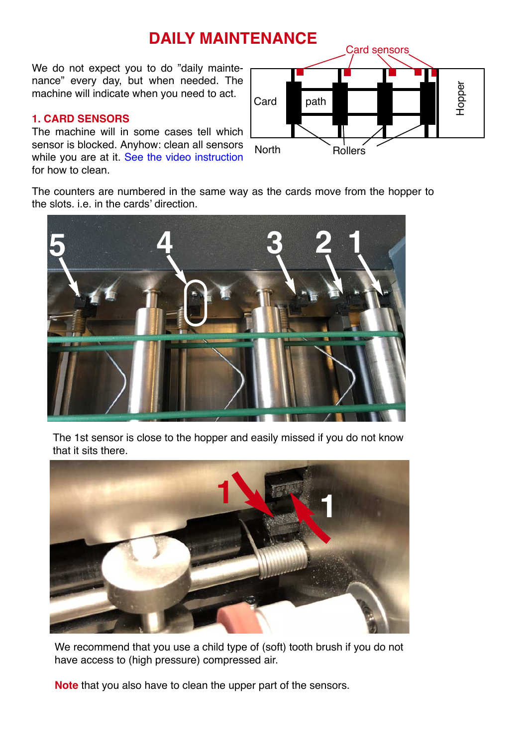We do not expect you to do "daily maintenance" every day, but when needed. The machine will indicate when you need to act.

#### **1. CARD SENSORS**

The machine will in some cases tell which sensor is blocked. Anyhow: clean all sensors while you are at it. See the video instruction for how to clean.



The counters are numbered in the same way as the cards move from the hopper to the slots. i.e. in the [cards' direction.](https://www.youtube.com/watch?v=Aha8Q1FrKj0&feature=youtu.be) 



The 1st sensor is close to the hopper and easily missed if you do not know that it sits there.



We recommend that you use a child type of (soft) tooth brush if you do not have access to (high pressure) compressed air.

**Note** that you also have to clean the upper part of the sensors.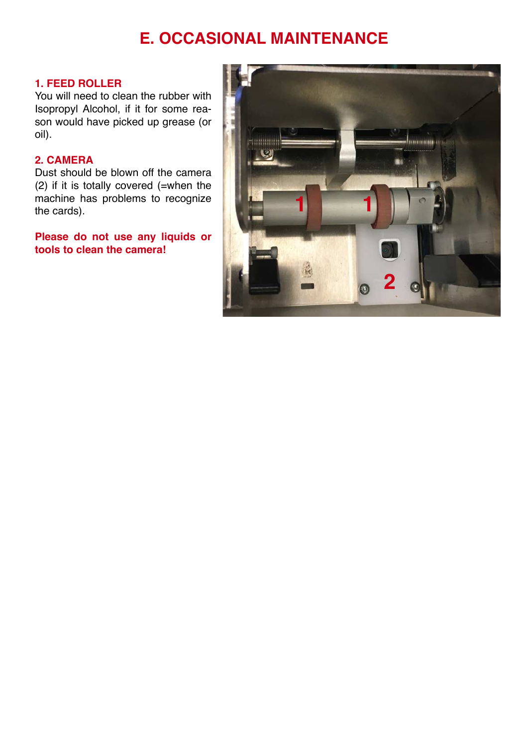### **E. OCCASIONAL MAINTENANCE**

#### **1. FEED ROLLER**

You will need to clean the rubber with Isopropyl Alcohol, if it for some reason would have picked up grease (or oil).

#### **2. CAMERA**

Dust should be blown off the camera (2) if it is totally covered (=when the machine has problems to recognize the cards).

**Please do not use any liquids or tools to clean the camera!**